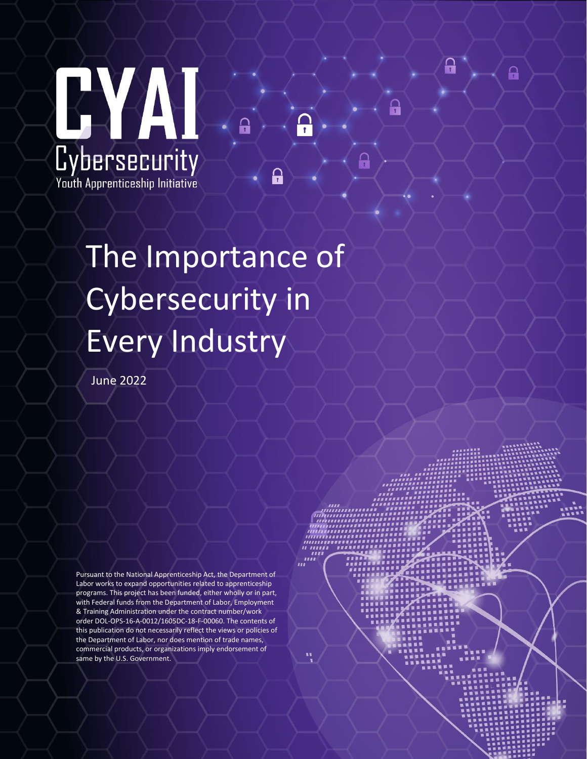

# The Importance of Cybersecurity in Every Industry

ူ

ဥ

June 2022

Pursuant to the National Apprenticeship Act, the Department of Labor works to expand opportunities related to apprenticeship programs. This project has been funded, either wholly or in part, with Federal funds from the Department of Labor, Employment & Training Administration under the contract number/work order DOL-OPS-16-A-0012/1605DC-18-F-00060. The contents of this publication do not necessarily reflect the views or policies of the Department of Labor, nor does mention of trade names, commercial products, or organizations imply endorsement of same by the U.S. Government.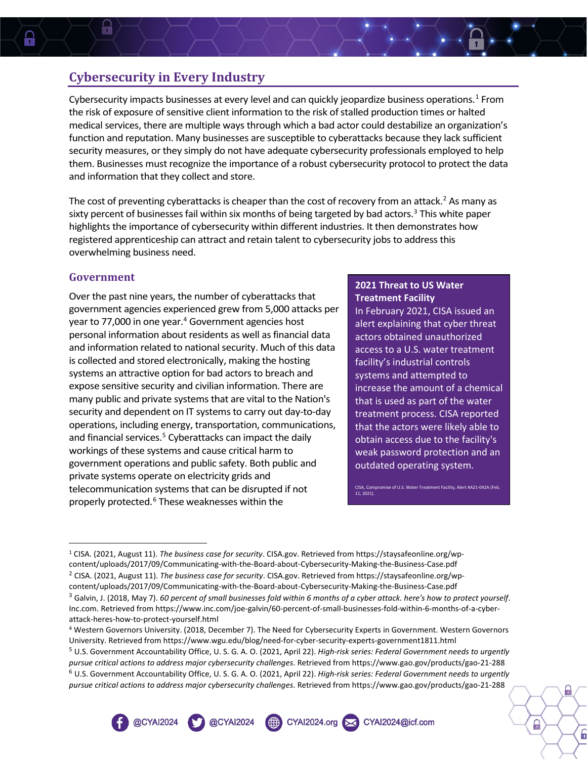### **Cybersecurity in Every Industry**

Cybersecurity impacts businesses at every level and can quickly jeopardize business operations.[1](#page-1-0) From the risk of exposure of sensitive client information to the risk of stalled production times or halted medical services, there are multiple ways through which a bad actor could destabilize an organization's function and reputation. Many businesses are susceptible to cyberattacks because they lack sufficient security measures, or they simply do not have adequate cybersecurity professionals employed to help them. Businesses must recognize the importance of a robust cybersecurity protocol to protect the data and information that they collect and store.

The cost of preventing cyberattacks is cheaper than the cost of recovery from an attack.<sup>[2](#page-1-1)</sup> As many as sixty percent of businesses fail within six months of being targeted by bad actors. [3](#page-1-2) This white paper highlights the importance of cybersecurity within different industries. It then demonstrates how registered apprenticeship can attract and retain talent to cybersecurity jobs to address this overwhelming business need.

#### **Government**

H

Over the past nine years, the number of cyberattacks that government agencies experienced grew from 5,000 attacks per year to 77,000 in one year.<sup>[4](#page-1-3)</sup> Government agencies host personal information about residents as well asfinancial data and information related to national security. Much of this data is collected and stored electronically, making the hosting systems an attractive option for bad actors to breach and expose sensitive security and civilian information. There are many public and private systems that are vital to the Nation's security and dependent on IT systems to carry out day-to-day operations, including energy, transportation, communications, and financial services.<sup>5</sup> Cyberattacks can impact the daily workings of these systems and cause critical harm to government operations and public safety. Both public and private systems operate on electricity grids and telecommunication systems that can be disrupted if not properly protected. [6](#page-1-5) These weaknesses within the

@CYAI2024

#### **2021 Threat to US Water Treatment Facility**

In February 2021, CISA issued an alert explaining that cyber threat actors obtained unauthorized access to a U.S. water treatment facility's industrial controls systems and attempted to increase the amount of a chemical that is used as part of the water treatment process. CISA reported that the actors were likely able to obtain access due to the facility's weak password protection and an outdated operating system.

CISA, Compromise of U.S. Water Treatment Facility, Alert AA21-042A (Feb. 11, 2021)

CYAl2024@icf.com

A

ĥ

@CYAI2024

 $\qquad \qquad \text{CYAI2024.org}$ 

<span id="page-1-0"></span><sup>1</sup> CISA. (2021, August 11). *The business case for security*. CISA.gov. Retrieved from https://staysafeonline.org/wpcontent/uploads/2017/09/Communicating-with-the-Board-about-Cybersecurity-Making-the-Business-Case.pdf<br><sup>2</sup> CISA. (2021, August 11). *The business case for security*. CISA.gov. Retrieved from https://staysafeonline.org/wp-

<span id="page-1-1"></span>

<span id="page-1-2"></span>content/uploads/2017/09/Communicating-with-the-Board-about-Cybersecurity-Making-the-Business-Case.pdf <sup>3</sup> Galvin, J. (2018, May 7). *60 percent of small businesses fold within 6 months of a cyber attack. here's how to protect yourself*. Inc.com. Retrieved from https://www.inc.com/joe-galvin/60-percent-of-small-businesses-fold-within-6-months-of-a-cyberattack-heres-how-to-protect-yourself.html

<span id="page-1-3"></span><sup>4</sup> Western Governors University. (2018, December 7). The Need for Cybersecurity Experts in Government. Western Governors University. Retrieved from https://www.wgu.edu/blog/need-for-cyber-security-experts-government1811.html

<span id="page-1-5"></span><span id="page-1-4"></span><sup>5</sup> U.S. Government Accountability Office, U. S. G. A. O. (2021, April 22). *High-risk series: Federal Government needs to urgently pursue critical actions to address major cybersecurity challenges*. Retrieved from https://www.gao.gov/products/gao-21-288 <sup>6</sup> U.S. Government Accountability Office, U. S. G. A. O. (2021, April 22). *High-risk series: Federal Government needs to urgently pursue critical actions to address major cybersecurity challenges*. Retrieved from https://www.gao.gov/products/gao-21-288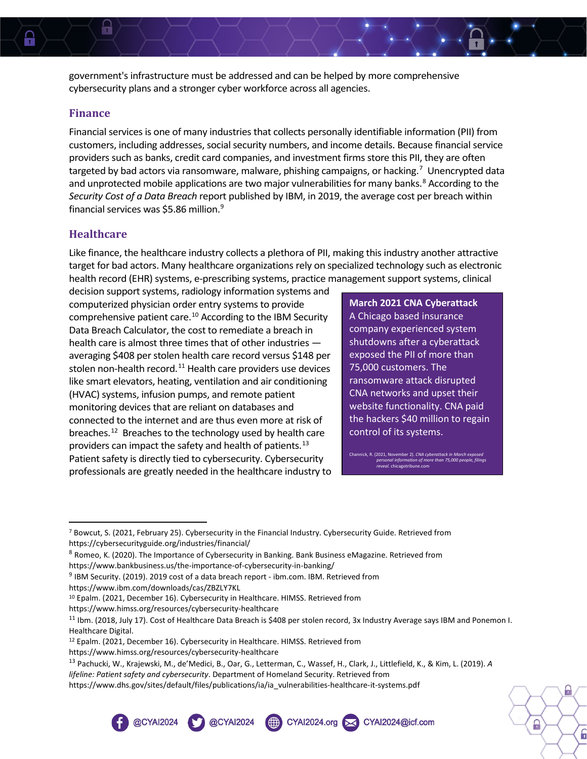government's infrastructure must be addressed and can be helped by more comprehensive cybersecurity plans and a stronger cyber workforce across all agencies.

#### **Finance**

H

Financial services is one of many industries that collects personally identifiable information (PII) from customers, including addresses, social security numbers, and income details. Because financial service providers such as banks, credit card companies, and investment firms store this PII, they are often targeted by bad actors via ransomware, malware, phishing campaigns, or hacking.<sup>[7](#page-2-0)</sup> Unencrypted data and unprotected mobile applications are two major vulnerabilities for many banks.<sup>[8](#page-2-1)</sup> According to the *Security Cost of a Data Breach* report published by IBM, in 2019, the average cost per breach within financial services was \$5.86 million.<sup>[9](#page-2-2)</sup>

#### **Healthcare**

Like finance, the healthcare industry collects a plethora of PII, making this industry another attractive target for bad actors. Many healthcare organizations rely on specialized technology such as electronic health record (EHR) systems, e-prescribing systems, practice management support systems, clinical

decision support systems, radiology information systems and computerized physician order entry systems to provide comprehensive patient care. [10](#page-2-3) According to the IBM Security Data Breach Calculator, the cost to remediate a breach in health care is almost three times that of other industries averaging \$408 per stolen health care record versus \$148 per stolen non-health record. $11$  Health care providers use devices like smart elevators, heating, ventilation and air conditioning (HVAC) systems, infusion pumps, and remote patient monitoring devices that are reliant on databases and connected to the internet and are thus even more at risk of breaches.<sup>[12](#page-2-5)</sup> Breaches to the technology used by health care providers can impact the safety and health of patients. [13](#page-2-6) Patient safety is directly tied to cybersecurity. Cybersecurity professionals are greatly needed in the healthcare industry to

**March 2021 CNA Cyberattack** A Chicago based insurance company experienced system shutdowns after a cyberattack exposed the PII of more than 75,000 customers. The ransomware attack disrupted CNA networks and upset their website functionality. CNA paid the hackers \$40 million to regain control of its systems.

Channick, R. (2021, November 2). *CNA cyberattack in March exposed personal information of more than 75,000 people, filings reveal*. chicagotribune.com

A

ĥ

https://www.himss.org/resources/cybersecurity-healthcare

CYAl2024.org X CYAl2024@icf.com

https://www.himss.org/resources/cybersecurity-healthcare

https://www.dhs.gov/sites/default/files/publications/ia/ia\_vulnerabilities-healthcare-it-systems.pdf



<span id="page-2-0"></span><sup>7</sup> Bowcut, S. (2021, February 25). Cybersecurity in the Financial Industry. Cybersecurity Guide. Retrieved from https://cybersecurityguide.org/industries/financial/

<span id="page-2-1"></span><sup>8</sup> Romeo, K. (2020). The Importance of Cybersecurity in Banking. Bank Business eMagazine. Retrieved from https://www.bankbusiness.us/the-importance-of-cybersecurity-in-banking/

<span id="page-2-2"></span><sup>9</sup> IBM Security. (2019). 2019 cost of a data breach report - ibm.com. IBM. Retrieved from https://www.ibm.com/downloads/cas/ZBZLY7KL

<span id="page-2-3"></span><sup>10</sup> Epalm. (2021, December 16). Cybersecurity in Healthcare. HIMSS. Retrieved from

<span id="page-2-4"></span><sup>&</sup>lt;sup>11</sup> Ibm. (2018, July 17). Cost of Healthcare Data Breach is \$408 per stolen record, 3x Industry Average says IBM and Ponemon I. Healthcare Digital.

<span id="page-2-5"></span><sup>12</sup> Epalm. (2021, December 16). Cybersecurity in Healthcare. HIMSS. Retrieved from

<span id="page-2-6"></span><sup>13</sup> Pachucki, W., Krajewski, M., de'Medici, B., Oar, G., Letterman, C., Wassef, H., Clark, J., Littlefield, K., & Kim, L. (2019). *A lifeline: Patient safety and cybersecurity*. Department of Homeland Security. Retrieved from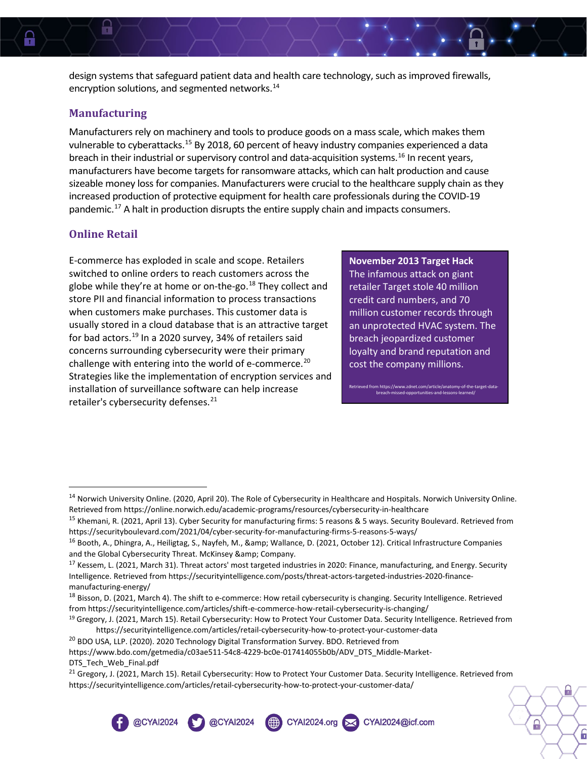design systems that safeguard patient data and health care technology, such as improved firewalls, encryption solutions, and segmented networks.<sup>[14](#page-3-0)</sup>

#### **Manufacturing**

H

Manufacturers rely on machinery and tools to produce goods on a mass scale, which makes them vulnerable to cyberattacks.[15](#page-3-1) By 2018, 60 percent of heavy industry companies experienced a data breach in their industrial or supervisory control and data-acquisition systems.<sup>16</sup> In recent years, manufacturers have become targets for ransomware attacks, which can halt production and cause sizeable money loss for companies. Manufacturers were crucial to the healthcare supply chain as they increased production of protective equipment for health care professionals during the COVID-19 pandemic.<sup>[17](#page-3-3)</sup> A halt in production disrupts the entire supply chain and impacts consumers.

#### **Online Retail**

E-commerce has exploded in scale and scope. Retailers switched to online orders to reach customers across the globe while they're at home or on-the-go.<sup>[18](#page-3-4)</sup> They collect and store PII and financial information to process transactions when customers make purchases. This customer data is usually stored in a cloud database that is an attractive target for bad actors.<sup>[19](#page-3-5)</sup> In a 2020 survey, 34% of retailers said concerns surrounding cybersecurity were their primary challenge with entering into the world of e-commerce.<sup>[20](#page-3-6)</sup> Strategies like the implementation of encryption services and installation of surveillance software can help increase retailer's cybersecurity defenses.<sup>[21](#page-3-7)</sup>

**November 2013 Target Hack**

The infamous attack on giant retailer Target stole 40 million credit card numbers, and 70 million customer records through an unprotected HVAC system. The breach jeopardized customer loyalty and brand reputation and cost the company millions.

> .<br>In https://www.zdnet.com/article/anatomy-of-the-target-data missed-opportunities-and-le

> > A

ĥ

**CO** @CYAI2024

@CYAI2024

CYAl2024.org X CYAl2024@icf.com

<span id="page-3-0"></span>

<sup>&</sup>lt;sup>14</sup> Norwich University Online. (2020, April 20). The Role of Cybersecurity in Healthcare and Hospitals. Norwich University Online. Retrieved from https://online.norwich.edu/academic-programs/resources/cybersecurity-in-healthcare

<span id="page-3-1"></span><sup>&</sup>lt;sup>15</sup> Khemani, R. (2021, April 13). Cyber Security for manufacturing firms: 5 reasons & 5 ways. Security Boulevard. Retrieved from https://securityboulevard.com/2021/04/cyber-security-for-manufacturing-firms-5-reasons-5-ways/

<span id="page-3-2"></span><sup>&</sup>lt;sup>16</sup> Booth, A., Dhingra, A., Heiligtag, S., Nayfeh, M., & amp; Wallance, D. (2021, October 12). Critical Infrastructure Companies and the Global Cybersecurity Threat. McKinsey & amp; Company.

<span id="page-3-3"></span><sup>&</sup>lt;sup>17</sup> Kessem, L. (2021, March 31). Threat actors' most targeted industries in 2020: Finance, manufacturing, and Energy. Security Intelligence. Retrieved from https://securityintelligence.com/posts/threat-actors-targeted-industries-2020-financemanufacturing-energy/

<span id="page-3-4"></span><sup>18</sup> Bisson, D. (2021, March 4). The shift to e-commerce: How retail cybersecurity is changing. Security Intelligence. Retrieved from https://securityintelligence.com/articles/shift-e-commerce-how-retail-cybersecurity-is-changing/

<span id="page-3-5"></span><sup>&</sup>lt;sup>19</sup> Gregory, J. (2021, March 15). Retail Cybersecurity: How to Protect Your Customer Data. Security Intelligence. Retrieved from https://securityintelligence.com/articles/retail-cybersecurity-how-to-protect-your-customer-data

<span id="page-3-6"></span><sup>&</sup>lt;sup>20</sup> BDO USA, LLP. (2020). 2020 Technology Digital Transformation Survey. BDO. Retrieved from https://www.bdo.com/getmedia/c03ae511-54c8-4229-bc0e-017414055b0b/ADV\_DTS\_Middle-Market-DTS Tech Web Final.pdf

<span id="page-3-7"></span><sup>&</sup>lt;sup>21</sup> Gregory, J. (2021, March 15). Retail Cybersecurity: How to Protect Your Customer Data. Security Intelligence. Retrieved from https://securityintelligence.com/articles/retail-cybersecurity-how-to-protect-your-customer-data/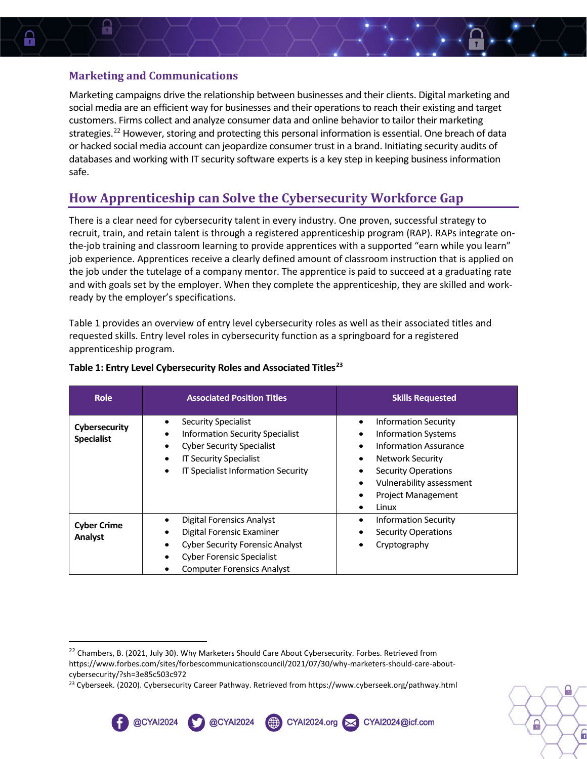#### **Marketing and Communications**

H

Marketing campaigns drive the relationship between businesses and their clients. Digital marketing and social media are an efficient way for businesses and their operations to reach their existing and target customers. Firms collect and analyze consumer data and online behavior to tailor their marketing strategies.<sup>[22](#page-4-0)</sup> However, storing and protecting this personal information is essential. One breach of data or hacked social media account can jeopardize consumer trust in a brand. Initiating security audits of databases and working with IT security software experts is a key step in keeping business information safe.

## **How Apprenticeship can Solve the Cybersecurity Workforce Gap**

There is a clear need for cybersecurity talent in every industry. One proven, successful strategy to recruit, train, and retain talent is through a registered apprenticeship program (RAP). RAPs integrate onthe-job training and classroom learning to provide apprentices with a supported "earn while you learn" job experience. Apprentices receive a clearly defined amount of classroom instruction that is applied on the job under the tutelage of a company mentor. The apprentice is paid to succeed at a graduating rate and with goals set by the employer. When they complete the apprenticeship, they are skilled and workready by the employer's specifications.

Table 1 provides an overview of entry level cybersecurity roles as well as their associated titles and requested skills. Entry level roles in cybersecurity function as a springboard for a registered apprenticeship program.

| <b>Role</b>                        | <b>Associated Position Titles</b>                                                                                                                                                                                    | <b>Skills Requested</b>                                                                                                                                                                                                                                                   |
|------------------------------------|----------------------------------------------------------------------------------------------------------------------------------------------------------------------------------------------------------------------|---------------------------------------------------------------------------------------------------------------------------------------------------------------------------------------------------------------------------------------------------------------------------|
| Cybersecurity<br><b>Specialist</b> | Security Specialist<br><b>Information Security Specialist</b><br>٠<br><b>Cyber Security Specialist</b><br>$\bullet$<br><b>IT Security Specialist</b><br>$\bullet$<br>IT Specialist Information Security<br>$\bullet$ | <b>Information Security</b><br>٠<br><b>Information Systems</b><br>٠<br>Information Assurance<br>$\bullet$<br>Network Security<br>$\bullet$<br><b>Security Operations</b><br>Vulnerability assessment<br>$\bullet$<br><b>Project Management</b><br>٠<br>Linux<br>$\bullet$ |
| <b>Cyber Crime</b><br>Analyst      | Digital Forensics Analyst<br>Digital Forensic Examiner<br><b>Cyber Security Forensic Analyst</b><br><b>Cyber Forensic Specialist</b><br>٠<br><b>Computer Forensics Analyst</b>                                       | <b>Information Security</b><br><b>Security Operations</b><br>Cryptography                                                                                                                                                                                                 |

#### **Table 1: Entry Level Cybersecurity Roles and Associated Titles[23](#page-4-1)**

@CYAI2024

@CYAI2024

CYAl2024.org X CYAl2024@icf.com



<span id="page-4-0"></span><sup>&</sup>lt;sup>22</sup> Chambers, B. (2021, July 30). Why Marketers Should Care About Cybersecurity. Forbes. Retrieved from https://www.forbes.com/sites/forbescommunicationscouncil/2021/07/30/why-marketers-should-care-aboutcybersecurity/?sh=3e85c503c972

<span id="page-4-1"></span><sup>&</sup>lt;sup>23</sup> Cyberseek. (2020). Cybersecurity Career Pathway. Retrieved from https://www.cyberseek.org/pathway.html